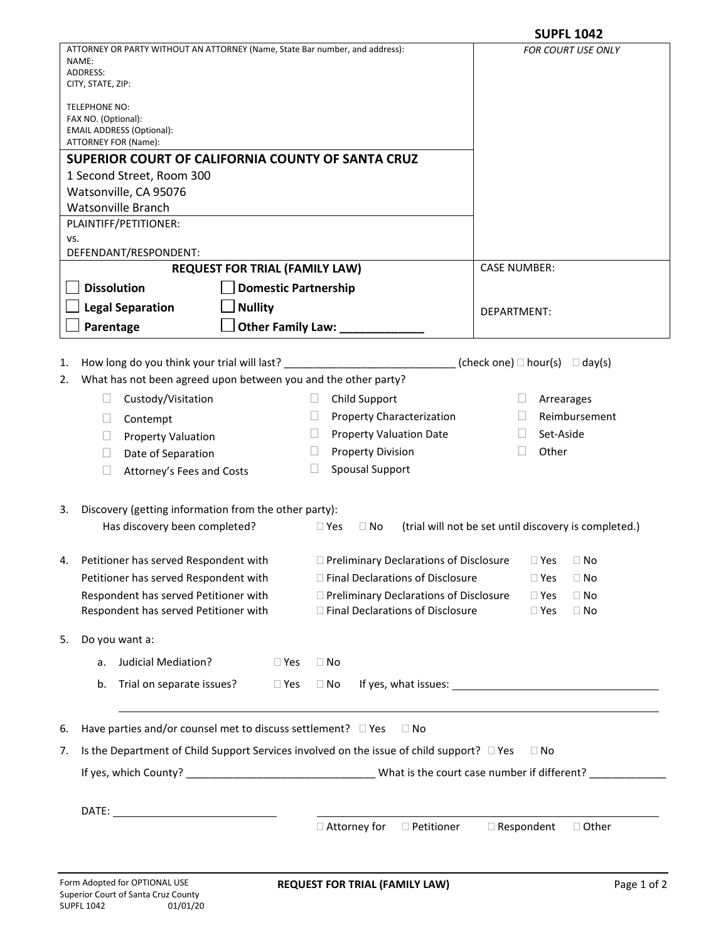| ATTORNEY OR PARTY WITHOUT AN ATTORNEY (Name, State Bar number, and address):<br>FOR COURT USE ONLY<br>NAME:<br>ADDRESS:<br>CITY, STATE, ZIP:<br>TELEPHONE NO:<br>FAX NO. (Optional):<br><b>EMAIL ADDRESS (Optional):</b><br>ATTORNEY FOR (Name):<br>SUPERIOR COURT OF CALIFORNIA COUNTY OF SANTA CRUZ<br>1 Second Street, Room 300<br>Watsonville, CA 95076<br><b>Watsonville Branch</b><br>PLAINTIFF/PETITIONER:<br>VS.<br>DEFENDANT/RESPONDENT:<br><b>CASE NUMBER:</b><br><b>REQUEST FOR TRIAL (FAMILY LAW)</b><br><b>Dissolution</b><br><b>Domestic Partnership</b><br><b>Nullity</b><br><b>Legal Separation</b><br><b>DEPARTMENT:</b><br>Other Family Law: ___<br>Parentage<br>How long do you think your trial will last?<br>(check one) $\Box$ hour(s) $\Box$ day(s)<br>What has not been agreed upon between you and the other party?<br>Child Support<br>Custody/Visitation<br>$\mathbf{L}$<br>Arrearages<br>Ц<br>Reimbursement<br>Property Characterization<br>$\mathbf{L}$<br>$\mathbf{L}$<br>Contempt<br>Ц<br>Set-Aside<br><b>Property Valuation Date</b><br>$\mathbf{L}$<br>$\mathbf{L}$<br><b>Property Valuation</b><br>Ш<br>Other<br><b>Property Division</b><br>$\mathbf{L}$<br>Date of Separation<br>$\mathbf{L}$<br><b>Spousal Support</b><br>Attorney's Fees and Costs<br>Ц<br>Discovery (getting information from the other party):<br>Has discovery been completed?<br>(trial will not be set until discovery is completed.)<br>$\Box$ Yes<br>$\Box$ No<br>Petitioner has served Respondent with<br>□ Preliminary Declarations of Disclosure<br>$\Box$ Yes<br>$\Box$ No<br>Petitioner has served Respondent with<br>□ Final Declarations of Disclosure<br>$\Box$ No<br>$\square$ Yes<br>Respondent has served Petitioner with<br>□ Preliminary Declarations of Disclosure<br>$\Box$ Yes<br>$\Box$ No<br>Respondent has served Petitioner with<br>□ Final Declarations of Disclosure<br>$\Box$ Yes<br>$\Box$ No<br>Do you want a:<br>Judicial Mediation?<br>$\square$ Yes<br>$\Box$ No<br>a.<br>Trial on separate issues?<br>$\Box$ Yes<br>b.<br>$\Box$ No<br>Have parties and/or counsel met to discuss settlement? D Yes<br>$\Box$ No<br>Is the Department of Child Support Services involved on the issue of child support? □ Yes<br>$\Box$ No |  |                                          | <b>SUPFL 1042</b>                 |  |  |  |
|----------------------------------------------------------------------------------------------------------------------------------------------------------------------------------------------------------------------------------------------------------------------------------------------------------------------------------------------------------------------------------------------------------------------------------------------------------------------------------------------------------------------------------------------------------------------------------------------------------------------------------------------------------------------------------------------------------------------------------------------------------------------------------------------------------------------------------------------------------------------------------------------------------------------------------------------------------------------------------------------------------------------------------------------------------------------------------------------------------------------------------------------------------------------------------------------------------------------------------------------------------------------------------------------------------------------------------------------------------------------------------------------------------------------------------------------------------------------------------------------------------------------------------------------------------------------------------------------------------------------------------------------------------------------------------------------------------------------------------------------------------------------------------------------------------------------------------------------------------------------------------------------------------------------------------------------------------------------------------------------------------------------------------------------------------------------------------------------------------------------------------------------------------------------------------------------------------------------------------------------------------------------|--|------------------------------------------|-----------------------------------|--|--|--|
| 1.<br>2.<br>3.<br>4.<br>5.<br>6.<br>7.                                                                                                                                                                                                                                                                                                                                                                                                                                                                                                                                                                                                                                                                                                                                                                                                                                                                                                                                                                                                                                                                                                                                                                                                                                                                                                                                                                                                                                                                                                                                                                                                                                                                                                                                                                                                                                                                                                                                                                                                                                                                                                                                                                                                                               |  |                                          |                                   |  |  |  |
|                                                                                                                                                                                                                                                                                                                                                                                                                                                                                                                                                                                                                                                                                                                                                                                                                                                                                                                                                                                                                                                                                                                                                                                                                                                                                                                                                                                                                                                                                                                                                                                                                                                                                                                                                                                                                                                                                                                                                                                                                                                                                                                                                                                                                                                                      |  |                                          |                                   |  |  |  |
|                                                                                                                                                                                                                                                                                                                                                                                                                                                                                                                                                                                                                                                                                                                                                                                                                                                                                                                                                                                                                                                                                                                                                                                                                                                                                                                                                                                                                                                                                                                                                                                                                                                                                                                                                                                                                                                                                                                                                                                                                                                                                                                                                                                                                                                                      |  |                                          |                                   |  |  |  |
|                                                                                                                                                                                                                                                                                                                                                                                                                                                                                                                                                                                                                                                                                                                                                                                                                                                                                                                                                                                                                                                                                                                                                                                                                                                                                                                                                                                                                                                                                                                                                                                                                                                                                                                                                                                                                                                                                                                                                                                                                                                                                                                                                                                                                                                                      |  |                                          |                                   |  |  |  |
|                                                                                                                                                                                                                                                                                                                                                                                                                                                                                                                                                                                                                                                                                                                                                                                                                                                                                                                                                                                                                                                                                                                                                                                                                                                                                                                                                                                                                                                                                                                                                                                                                                                                                                                                                                                                                                                                                                                                                                                                                                                                                                                                                                                                                                                                      |  |                                          |                                   |  |  |  |
|                                                                                                                                                                                                                                                                                                                                                                                                                                                                                                                                                                                                                                                                                                                                                                                                                                                                                                                                                                                                                                                                                                                                                                                                                                                                                                                                                                                                                                                                                                                                                                                                                                                                                                                                                                                                                                                                                                                                                                                                                                                                                                                                                                                                                                                                      |  |                                          |                                   |  |  |  |
|                                                                                                                                                                                                                                                                                                                                                                                                                                                                                                                                                                                                                                                                                                                                                                                                                                                                                                                                                                                                                                                                                                                                                                                                                                                                                                                                                                                                                                                                                                                                                                                                                                                                                                                                                                                                                                                                                                                                                                                                                                                                                                                                                                                                                                                                      |  |                                          |                                   |  |  |  |
|                                                                                                                                                                                                                                                                                                                                                                                                                                                                                                                                                                                                                                                                                                                                                                                                                                                                                                                                                                                                                                                                                                                                                                                                                                                                                                                                                                                                                                                                                                                                                                                                                                                                                                                                                                                                                                                                                                                                                                                                                                                                                                                                                                                                                                                                      |  |                                          |                                   |  |  |  |
|                                                                                                                                                                                                                                                                                                                                                                                                                                                                                                                                                                                                                                                                                                                                                                                                                                                                                                                                                                                                                                                                                                                                                                                                                                                                                                                                                                                                                                                                                                                                                                                                                                                                                                                                                                                                                                                                                                                                                                                                                                                                                                                                                                                                                                                                      |  |                                          |                                   |  |  |  |
|                                                                                                                                                                                                                                                                                                                                                                                                                                                                                                                                                                                                                                                                                                                                                                                                                                                                                                                                                                                                                                                                                                                                                                                                                                                                                                                                                                                                                                                                                                                                                                                                                                                                                                                                                                                                                                                                                                                                                                                                                                                                                                                                                                                                                                                                      |  |                                          |                                   |  |  |  |
|                                                                                                                                                                                                                                                                                                                                                                                                                                                                                                                                                                                                                                                                                                                                                                                                                                                                                                                                                                                                                                                                                                                                                                                                                                                                                                                                                                                                                                                                                                                                                                                                                                                                                                                                                                                                                                                                                                                                                                                                                                                                                                                                                                                                                                                                      |  |                                          |                                   |  |  |  |
|                                                                                                                                                                                                                                                                                                                                                                                                                                                                                                                                                                                                                                                                                                                                                                                                                                                                                                                                                                                                                                                                                                                                                                                                                                                                                                                                                                                                                                                                                                                                                                                                                                                                                                                                                                                                                                                                                                                                                                                                                                                                                                                                                                                                                                                                      |  |                                          |                                   |  |  |  |
|                                                                                                                                                                                                                                                                                                                                                                                                                                                                                                                                                                                                                                                                                                                                                                                                                                                                                                                                                                                                                                                                                                                                                                                                                                                                                                                                                                                                                                                                                                                                                                                                                                                                                                                                                                                                                                                                                                                                                                                                                                                                                                                                                                                                                                                                      |  |                                          |                                   |  |  |  |
|                                                                                                                                                                                                                                                                                                                                                                                                                                                                                                                                                                                                                                                                                                                                                                                                                                                                                                                                                                                                                                                                                                                                                                                                                                                                                                                                                                                                                                                                                                                                                                                                                                                                                                                                                                                                                                                                                                                                                                                                                                                                                                                                                                                                                                                                      |  |                                          |                                   |  |  |  |
|                                                                                                                                                                                                                                                                                                                                                                                                                                                                                                                                                                                                                                                                                                                                                                                                                                                                                                                                                                                                                                                                                                                                                                                                                                                                                                                                                                                                                                                                                                                                                                                                                                                                                                                                                                                                                                                                                                                                                                                                                                                                                                                                                                                                                                                                      |  |                                          |                                   |  |  |  |
|                                                                                                                                                                                                                                                                                                                                                                                                                                                                                                                                                                                                                                                                                                                                                                                                                                                                                                                                                                                                                                                                                                                                                                                                                                                                                                                                                                                                                                                                                                                                                                                                                                                                                                                                                                                                                                                                                                                                                                                                                                                                                                                                                                                                                                                                      |  |                                          |                                   |  |  |  |
|                                                                                                                                                                                                                                                                                                                                                                                                                                                                                                                                                                                                                                                                                                                                                                                                                                                                                                                                                                                                                                                                                                                                                                                                                                                                                                                                                                                                                                                                                                                                                                                                                                                                                                                                                                                                                                                                                                                                                                                                                                                                                                                                                                                                                                                                      |  |                                          |                                   |  |  |  |
|                                                                                                                                                                                                                                                                                                                                                                                                                                                                                                                                                                                                                                                                                                                                                                                                                                                                                                                                                                                                                                                                                                                                                                                                                                                                                                                                                                                                                                                                                                                                                                                                                                                                                                                                                                                                                                                                                                                                                                                                                                                                                                                                                                                                                                                                      |  |                                          |                                   |  |  |  |
|                                                                                                                                                                                                                                                                                                                                                                                                                                                                                                                                                                                                                                                                                                                                                                                                                                                                                                                                                                                                                                                                                                                                                                                                                                                                                                                                                                                                                                                                                                                                                                                                                                                                                                                                                                                                                                                                                                                                                                                                                                                                                                                                                                                                                                                                      |  |                                          |                                   |  |  |  |
|                                                                                                                                                                                                                                                                                                                                                                                                                                                                                                                                                                                                                                                                                                                                                                                                                                                                                                                                                                                                                                                                                                                                                                                                                                                                                                                                                                                                                                                                                                                                                                                                                                                                                                                                                                                                                                                                                                                                                                                                                                                                                                                                                                                                                                                                      |  |                                          |                                   |  |  |  |
|                                                                                                                                                                                                                                                                                                                                                                                                                                                                                                                                                                                                                                                                                                                                                                                                                                                                                                                                                                                                                                                                                                                                                                                                                                                                                                                                                                                                                                                                                                                                                                                                                                                                                                                                                                                                                                                                                                                                                                                                                                                                                                                                                                                                                                                                      |  |                                          |                                   |  |  |  |
|                                                                                                                                                                                                                                                                                                                                                                                                                                                                                                                                                                                                                                                                                                                                                                                                                                                                                                                                                                                                                                                                                                                                                                                                                                                                                                                                                                                                                                                                                                                                                                                                                                                                                                                                                                                                                                                                                                                                                                                                                                                                                                                                                                                                                                                                      |  |                                          |                                   |  |  |  |
|                                                                                                                                                                                                                                                                                                                                                                                                                                                                                                                                                                                                                                                                                                                                                                                                                                                                                                                                                                                                                                                                                                                                                                                                                                                                                                                                                                                                                                                                                                                                                                                                                                                                                                                                                                                                                                                                                                                                                                                                                                                                                                                                                                                                                                                                      |  |                                          |                                   |  |  |  |
|                                                                                                                                                                                                                                                                                                                                                                                                                                                                                                                                                                                                                                                                                                                                                                                                                                                                                                                                                                                                                                                                                                                                                                                                                                                                                                                                                                                                                                                                                                                                                                                                                                                                                                                                                                                                                                                                                                                                                                                                                                                                                                                                                                                                                                                                      |  |                                          |                                   |  |  |  |
|                                                                                                                                                                                                                                                                                                                                                                                                                                                                                                                                                                                                                                                                                                                                                                                                                                                                                                                                                                                                                                                                                                                                                                                                                                                                                                                                                                                                                                                                                                                                                                                                                                                                                                                                                                                                                                                                                                                                                                                                                                                                                                                                                                                                                                                                      |  |                                          |                                   |  |  |  |
|                                                                                                                                                                                                                                                                                                                                                                                                                                                                                                                                                                                                                                                                                                                                                                                                                                                                                                                                                                                                                                                                                                                                                                                                                                                                                                                                                                                                                                                                                                                                                                                                                                                                                                                                                                                                                                                                                                                                                                                                                                                                                                                                                                                                                                                                      |  |                                          |                                   |  |  |  |
|                                                                                                                                                                                                                                                                                                                                                                                                                                                                                                                                                                                                                                                                                                                                                                                                                                                                                                                                                                                                                                                                                                                                                                                                                                                                                                                                                                                                                                                                                                                                                                                                                                                                                                                                                                                                                                                                                                                                                                                                                                                                                                                                                                                                                                                                      |  |                                          |                                   |  |  |  |
|                                                                                                                                                                                                                                                                                                                                                                                                                                                                                                                                                                                                                                                                                                                                                                                                                                                                                                                                                                                                                                                                                                                                                                                                                                                                                                                                                                                                                                                                                                                                                                                                                                                                                                                                                                                                                                                                                                                                                                                                                                                                                                                                                                                                                                                                      |  |                                          |                                   |  |  |  |
|                                                                                                                                                                                                                                                                                                                                                                                                                                                                                                                                                                                                                                                                                                                                                                                                                                                                                                                                                                                                                                                                                                                                                                                                                                                                                                                                                                                                                                                                                                                                                                                                                                                                                                                                                                                                                                                                                                                                                                                                                                                                                                                                                                                                                                                                      |  |                                          |                                   |  |  |  |
|                                                                                                                                                                                                                                                                                                                                                                                                                                                                                                                                                                                                                                                                                                                                                                                                                                                                                                                                                                                                                                                                                                                                                                                                                                                                                                                                                                                                                                                                                                                                                                                                                                                                                                                                                                                                                                                                                                                                                                                                                                                                                                                                                                                                                                                                      |  |                                          |                                   |  |  |  |
|                                                                                                                                                                                                                                                                                                                                                                                                                                                                                                                                                                                                                                                                                                                                                                                                                                                                                                                                                                                                                                                                                                                                                                                                                                                                                                                                                                                                                                                                                                                                                                                                                                                                                                                                                                                                                                                                                                                                                                                                                                                                                                                                                                                                                                                                      |  |                                          |                                   |  |  |  |
|                                                                                                                                                                                                                                                                                                                                                                                                                                                                                                                                                                                                                                                                                                                                                                                                                                                                                                                                                                                                                                                                                                                                                                                                                                                                                                                                                                                                                                                                                                                                                                                                                                                                                                                                                                                                                                                                                                                                                                                                                                                                                                                                                                                                                                                                      |  |                                          |                                   |  |  |  |
|                                                                                                                                                                                                                                                                                                                                                                                                                                                                                                                                                                                                                                                                                                                                                                                                                                                                                                                                                                                                                                                                                                                                                                                                                                                                                                                                                                                                                                                                                                                                                                                                                                                                                                                                                                                                                                                                                                                                                                                                                                                                                                                                                                                                                                                                      |  |                                          |                                   |  |  |  |
|                                                                                                                                                                                                                                                                                                                                                                                                                                                                                                                                                                                                                                                                                                                                                                                                                                                                                                                                                                                                                                                                                                                                                                                                                                                                                                                                                                                                                                                                                                                                                                                                                                                                                                                                                                                                                                                                                                                                                                                                                                                                                                                                                                                                                                                                      |  |                                          |                                   |  |  |  |
|                                                                                                                                                                                                                                                                                                                                                                                                                                                                                                                                                                                                                                                                                                                                                                                                                                                                                                                                                                                                                                                                                                                                                                                                                                                                                                                                                                                                                                                                                                                                                                                                                                                                                                                                                                                                                                                                                                                                                                                                                                                                                                                                                                                                                                                                      |  |                                          |                                   |  |  |  |
|                                                                                                                                                                                                                                                                                                                                                                                                                                                                                                                                                                                                                                                                                                                                                                                                                                                                                                                                                                                                                                                                                                                                                                                                                                                                                                                                                                                                                                                                                                                                                                                                                                                                                                                                                                                                                                                                                                                                                                                                                                                                                                                                                                                                                                                                      |  |                                          |                                   |  |  |  |
|                                                                                                                                                                                                                                                                                                                                                                                                                                                                                                                                                                                                                                                                                                                                                                                                                                                                                                                                                                                                                                                                                                                                                                                                                                                                                                                                                                                                                                                                                                                                                                                                                                                                                                                                                                                                                                                                                                                                                                                                                                                                                                                                                                                                                                                                      |  |                                          |                                   |  |  |  |
|                                                                                                                                                                                                                                                                                                                                                                                                                                                                                                                                                                                                                                                                                                                                                                                                                                                                                                                                                                                                                                                                                                                                                                                                                                                                                                                                                                                                                                                                                                                                                                                                                                                                                                                                                                                                                                                                                                                                                                                                                                                                                                                                                                                                                                                                      |  |                                          |                                   |  |  |  |
|                                                                                                                                                                                                                                                                                                                                                                                                                                                                                                                                                                                                                                                                                                                                                                                                                                                                                                                                                                                                                                                                                                                                                                                                                                                                                                                                                                                                                                                                                                                                                                                                                                                                                                                                                                                                                                                                                                                                                                                                                                                                                                                                                                                                                                                                      |  |                                          |                                   |  |  |  |
|                                                                                                                                                                                                                                                                                                                                                                                                                                                                                                                                                                                                                                                                                                                                                                                                                                                                                                                                                                                                                                                                                                                                                                                                                                                                                                                                                                                                                                                                                                                                                                                                                                                                                                                                                                                                                                                                                                                                                                                                                                                                                                                                                                                                                                                                      |  |                                          |                                   |  |  |  |
|                                                                                                                                                                                                                                                                                                                                                                                                                                                                                                                                                                                                                                                                                                                                                                                                                                                                                                                                                                                                                                                                                                                                                                                                                                                                                                                                                                                                                                                                                                                                                                                                                                                                                                                                                                                                                                                                                                                                                                                                                                                                                                                                                                                                                                                                      |  | $\Box$ Attorney for<br>$\Box$ Petitioner | $\Box$ Respondent<br>$\Box$ Other |  |  |  |
|                                                                                                                                                                                                                                                                                                                                                                                                                                                                                                                                                                                                                                                                                                                                                                                                                                                                                                                                                                                                                                                                                                                                                                                                                                                                                                                                                                                                                                                                                                                                                                                                                                                                                                                                                                                                                                                                                                                                                                                                                                                                                                                                                                                                                                                                      |  |                                          |                                   |  |  |  |